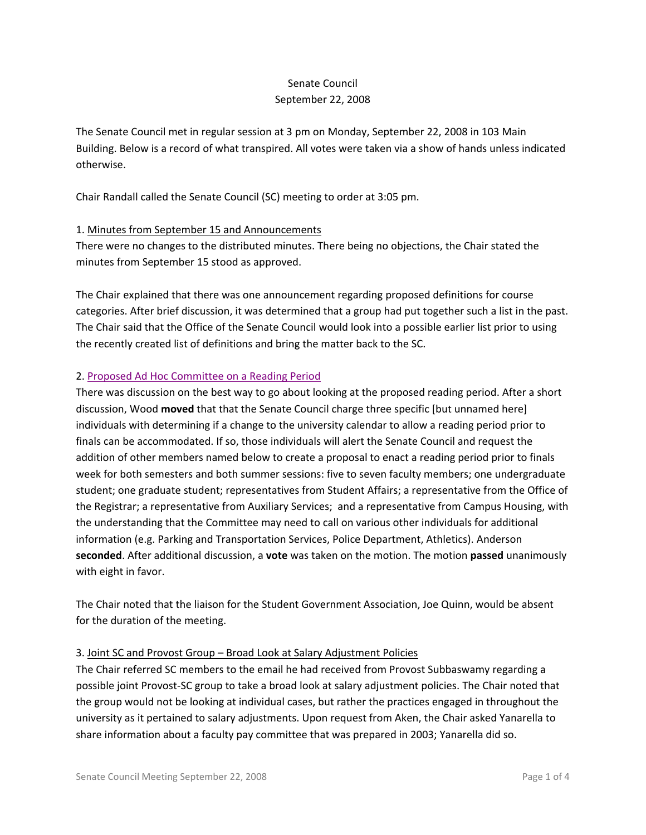## Senate Council September 22, 2008

The Senate Council met in regular session at 3 pm on Monday, September 22, 2008 in 103 Main Building. Below is a record of what transpired. All votes were taken via a show of hands unless indicated otherwise.

Chair Randall called the Senate Council (SC) meeting to order at 3:05 pm.

### 1. Minutes from September 15 and Announcements

There were no changes to the distributed minutes. There being no objections, the Chair stated the minutes from September 15 stood as approved.

The Chair explained that there was one announcement regarding proposed definitions for course categories. After brief discussion, it was determined that a group had put together such a list in the past. The Chair said that the Office of the Senate Council would look into a possible earlier list prior to using the recently created list of definitions and bring the matter back to the SC.

### 2. [Proposed Ad Hoc Committee on a Reading Period](http://www.uky.edu/USC/New/files/Cmte%20Proposed%20Reading%20Pd%20Creation_rev.pdf)

There was discussion on the best way to go about looking at the proposed reading period. After a short discussion, Wood **moved** that that the Senate Council charge three specific [but unnamed here] individuals with determining if a change to the university calendar to allow a reading period prior to finals can be accommodated. If so, those individuals will alert the Senate Council and request the addition of other members named below to create a proposal to enact a reading period prior to finals week for both semesters and both summer sessions: five to seven faculty members; one undergraduate student; one graduate student; representatives from Student Affairs; a representative from the Office of the Registrar; a representative from Auxiliary Services; and a representative from Campus Housing, with the understanding that the Committee may need to call on various other individuals for additional information (e.g. Parking and Transportation Services, Police Department, Athletics). Anderson **seconded**. After additional discussion, a **vote** was taken on the motion. The motion **passed** unanimously with eight in favor.

The Chair noted that the liaison for the Student Government Association, Joe Quinn, would be absent for the duration of the meeting.

### 3. Joint SC and Provost Group – Broad Look at Salary Adjustment Policies

The Chair referred SC members to the email he had received from Provost Subbaswamy regarding a possible joint Provost-SC group to take a broad look at salary adjustment policies. The Chair noted that the group would not be looking at individual cases, but rather the practices engaged in throughout the university as it pertained to salary adjustments. Upon request from Aken, the Chair asked Yanarella to share information about a faculty pay committee that was prepared in 2003; Yanarella did so.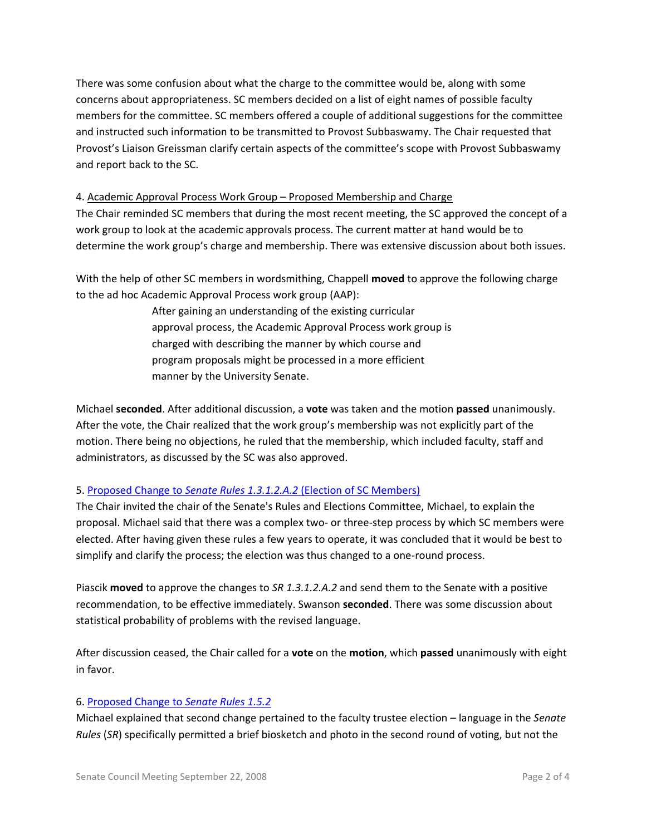There was some confusion about what the charge to the committee would be, along with some concerns about appropriateness. SC members decided on a list of eight names of possible faculty members for the committee. SC members offered a couple of additional suggestions for the committee and instructed such information to be transmitted to Provost Subbaswamy. The Chair requested that Provost's Liaison Greissman clarify certain aspects of the committee's scope with Provost Subbaswamy and report back to the SC.

### 4. Academic Approval Process Work Group – Proposed Membership and Charge

The Chair reminded SC members that during the most recent meeting, the SC approved the concept of a work group to look at the academic approvals process. The current matter at hand would be to determine the work group's charge and membership. There was extensive discussion about both issues.

With the help of other SC members in wordsmithing, Chappell **moved** to approve the following charge to the ad hoc Academic Approval Process work group (AAP):

> After gaining an understanding of the existing curricular approval process, the Academic Approval Process work group is charged with describing the manner by which course and program proposals might be processed in a more efficient manner by the University Senate.

Michael **seconded**. After additional discussion, a **vote** was taken and the motion **passed** unanimously. After the vote, the Chair realized that the work group's membership was not explicitly part of the motion. There being no objections, he ruled that the membership, which included faculty, staff and administrators, as discussed by the SC was also approved.

# 5. Proposed Change to *Senate Rules 1.3.1.2.A.2* [\(Election of SC Members\)](http://www.uky.edu/USC/New/files/report%20to%20senate%20council%2020080227_sc%20elec.pdf)

The Chair invited the chair of the Senate's Rules and Elections Committee, Michael, to explain the proposal. Michael said that there was a complex two- or three-step process by which SC members were elected. After having given these rules a few years to operate, it was concluded that it would be best to simplify and clarify the process; the election was thus changed to a one-round process.

Piascik **moved** to approve the changes to *SR 1.3.1.2.A.2* and send them to the Senate with a positive recommendation, to be effective immediately. Swanson **seconded**. There was some discussion about statistical probability of problems with the revised language.

After discussion ceased, the Chair called for a **vote** on the **motion**, which **passed** unanimously with eight in favor.

### 6. [Proposed Change to](http://www.uky.edu/USC/New/files/report%20to%20senate%20council%2020080227_fac%20trustee%20ballot.pdf) *Senate Rules 1.5.2*

Michael explained that second change pertained to the faculty trustee election – language in the *Senate Rules* (*SR*) specifically permitted a brief biosketch and photo in the second round of voting, but not the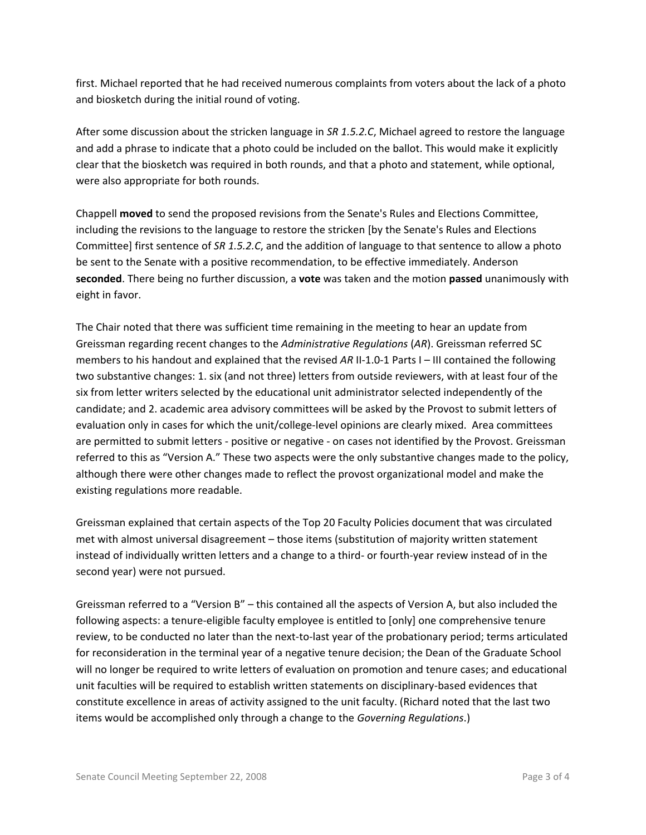first. Michael reported that he had received numerous complaints from voters about the lack of a photo and biosketch during the initial round of voting.

After some discussion about the stricken language in *SR 1.5.2.C*, Michael agreed to restore the language and add a phrase to indicate that a photo could be included on the ballot. This would make it explicitly clear that the biosketch was required in both rounds, and that a photo and statement, while optional, were also appropriate for both rounds.

Chappell **moved** to send the proposed revisions from the Senate's Rules and Elections Committee, including the revisions to the language to restore the stricken [by the Senate's Rules and Elections Committee] first sentence of *SR 1.5.2.C*, and the addition of language to that sentence to allow a photo be sent to the Senate with a positive recommendation, to be effective immediately. Anderson **seconded**. There being no further discussion, a **vote** was taken and the motion **passed** unanimously with eight in favor.

The Chair noted that there was sufficient time remaining in the meeting to hear an update from Greissman regarding recent changes to the *Administrative Regulations* (*AR*). Greissman referred SC members to his handout and explained that the revised AR II-1.0-1 Parts I – III contained the following two substantive changes: 1. six (and not three) letters from outside reviewers, with at least four of the six from letter writers selected by the educational unit administrator selected independently of the candidate; and 2. academic area advisory committees will be asked by the Provost to submit letters of evaluation only in cases for which the unit/college-level opinions are clearly mixed. Area committees are permitted to submit letters - positive or negative - on cases not identified by the Provost. Greissman referred to this as "Version A." These two aspects were the only substantive changes made to the policy, although there were other changes made to reflect the provost organizational model and make the existing regulations more readable.

Greissman explained that certain aspects of the Top 20 Faculty Policies document that was circulated met with almost universal disagreement – those items (substitution of majority written statement instead of individually written letters and a change to a third- or fourth-year review instead of in the second year) were not pursued.

Greissman referred to a "Version B" – this contained all the aspects of Version A, but also included the following aspects: a tenure-eligible faculty employee is entitled to [only] one comprehensive tenure review, to be conducted no later than the next-to-last year of the probationary period; terms articulated for reconsideration in the terminal year of a negative tenure decision; the Dean of the Graduate School will no longer be required to write letters of evaluation on promotion and tenure cases; and educational unit faculties will be required to establish written statements on disciplinary-based evidences that constitute excellence in areas of activity assigned to the unit faculty. (Richard noted that the last two items would be accomplished only through a change to the *Governing Regulations*.)